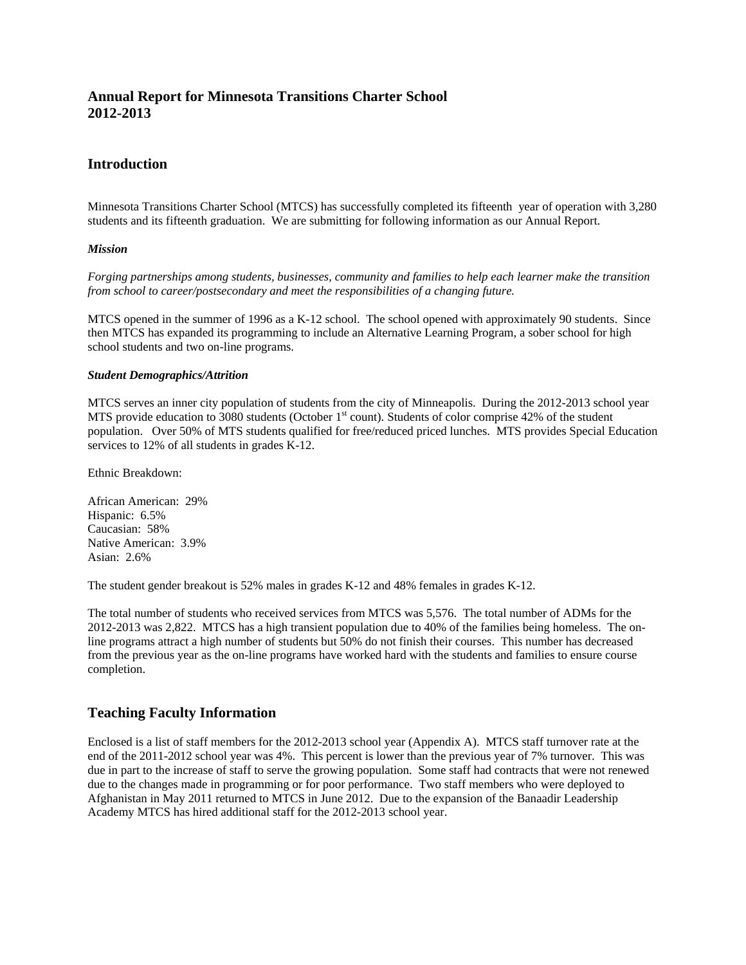# **Annual Report for Minnesota Transitions Charter School 2012-2013**

## **Introduction**

Minnesota Transitions Charter School (MTCS) has successfully completed its fifteenth year of operation with 3,280 students and its fifteenth graduation. We are submitting for following information as our Annual Report.

#### *Mission*

*Forging partnerships among students, businesses, community and families to help each learner make the transition from school to career/postsecondary and meet the responsibilities of a changing future.* 

MTCS opened in the summer of 1996 as a K-12 school. The school opened with approximately 90 students. Since then MTCS has expanded its programming to include an Alternative Learning Program, a sober school for high school students and two on-line programs.

#### *Student Demographics/Attrition*

MTCS serves an inner city population of students from the city of Minneapolis. During the 2012-2013 school year MTS provide education to 3080 students (October  $1<sup>st</sup>$  count). Students of color comprise 42% of the student population. Over 50% of MTS students qualified for free/reduced priced lunches. MTS provides Special Education services to 12% of all students in grades K-12.

Ethnic Breakdown:

African American: 29% Hispanic: 6.5% Caucasian: 58% Native American: 3.9% Asian: 2.6%

The student gender breakout is 52% males in grades K-12 and 48% females in grades K-12.

The total number of students who received services from MTCS was 5,576. The total number of ADMs for the 2012-2013 was 2,822. MTCS has a high transient population due to 40% of the families being homeless. The online programs attract a high number of students but 50% do not finish their courses. This number has decreased from the previous year as the on-line programs have worked hard with the students and families to ensure course completion.

## **Teaching Faculty Information**

Enclosed is a list of staff members for the 2012-2013 school year (Appendix A). MTCS staff turnover rate at the end of the 2011-2012 school year was 4%. This percent is lower than the previous year of 7% turnover. This was due in part to the increase of staff to serve the growing population. Some staff had contracts that were not renewed due to the changes made in programming or for poor performance. Two staff members who were deployed to Afghanistan in May 2011 returned to MTCS in June 2012. Due to the expansion of the Banaadir Leadership Academy MTCS has hired additional staff for the 2012-2013 school year.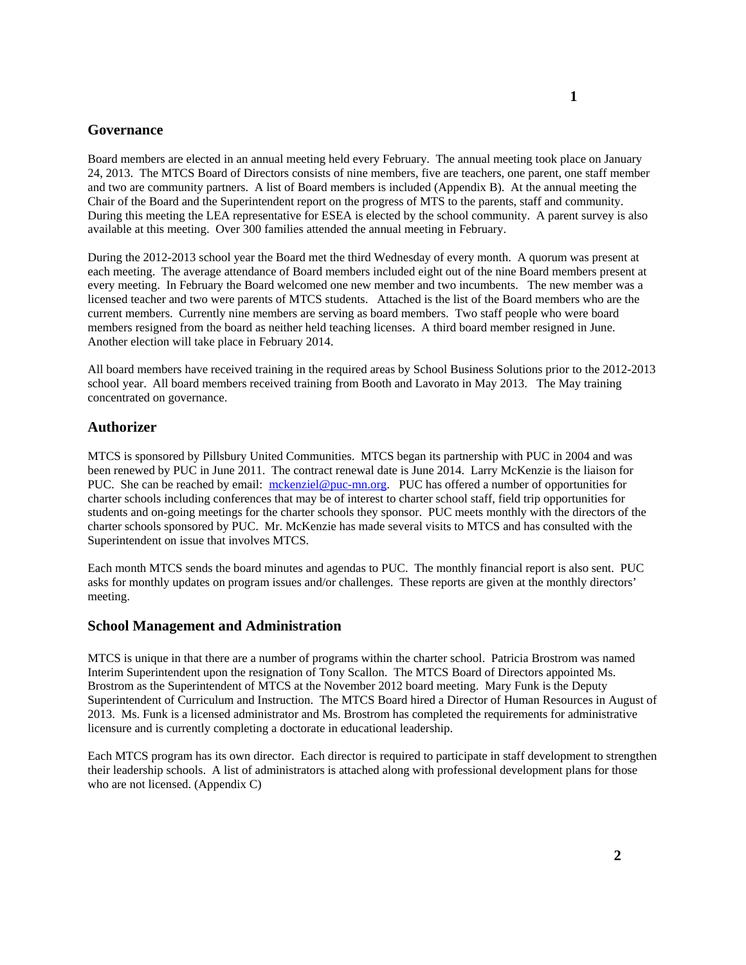### **Governance**

Board members are elected in an annual meeting held every February. The annual meeting took place on January 24, 2013. The MTCS Board of Directors consists of nine members, five are teachers, one parent, one staff member and two are community partners. A list of Board members is included (Appendix B). At the annual meeting the Chair of the Board and the Superintendent report on the progress of MTS to the parents, staff and community. During this meeting the LEA representative for ESEA is elected by the school community. A parent survey is also available at this meeting. Over 300 families attended the annual meeting in February.

During the 2012-2013 school year the Board met the third Wednesday of every month. A quorum was present at each meeting. The average attendance of Board members included eight out of the nine Board members present at every meeting. In February the Board welcomed one new member and two incumbents. The new member was a licensed teacher and two were parents of MTCS students. Attached is the list of the Board members who are the current members. Currently nine members are serving as board members. Two staff people who were board members resigned from the board as neither held teaching licenses. A third board member resigned in June. Another election will take place in February 2014.

All board members have received training in the required areas by School Business Solutions prior to the 2012-2013 school year. All board members received training from Booth and Lavorato in May 2013. The May training concentrated on governance.

### **Authorizer**

MTCS is sponsored by Pillsbury United Communities. MTCS began its partnership with PUC in 2004 and was been renewed by PUC in June 2011. The contract renewal date is June 2014. Larry McKenzie is the liaison for PUC. She can be reached by email: mckenziel@puc-mn.org. PUC has offered a number of opportunities for charter schools including conferences that may be of interest to charter school staff, field trip opportunities for students and on-going meetings for the charter schools they sponsor. PUC meets monthly with the directors of the charter schools sponsored by PUC. Mr. McKenzie has made several visits to MTCS and has consulted with the Superintendent on issue that involves MTCS.

Each month MTCS sends the board minutes and agendas to PUC. The monthly financial report is also sent. PUC asks for monthly updates on program issues and/or challenges. These reports are given at the monthly directors' meeting.

### **School Management and Administration**

MTCS is unique in that there are a number of programs within the charter school. Patricia Brostrom was named Interim Superintendent upon the resignation of Tony Scallon. The MTCS Board of Directors appointed Ms. Brostrom as the Superintendent of MTCS at the November 2012 board meeting. Mary Funk is the Deputy Superintendent of Curriculum and Instruction. The MTCS Board hired a Director of Human Resources in August of 2013. Ms. Funk is a licensed administrator and Ms. Brostrom has completed the requirements for administrative licensure and is currently completing a doctorate in educational leadership.

Each MTCS program has its own director. Each director is required to participate in staff development to strengthen their leadership schools. A list of administrators is attached along with professional development plans for those who are not licensed. (Appendix C)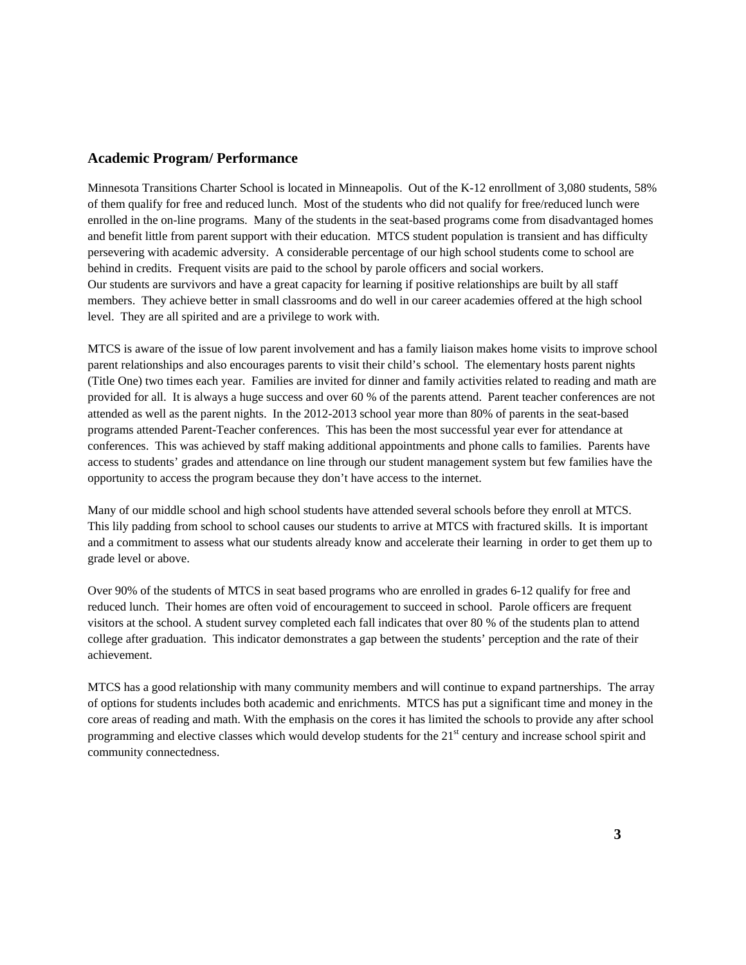## **Academic Program/ Performance**

Minnesota Transitions Charter School is located in Minneapolis. Out of the K-12 enrollment of 3,080 students, 58% of them qualify for free and reduced lunch. Most of the students who did not qualify for free/reduced lunch were enrolled in the on-line programs. Many of the students in the seat-based programs come from disadvantaged homes and benefit little from parent support with their education. MTCS student population is transient and has difficulty persevering with academic adversity. A considerable percentage of our high school students come to school are behind in credits. Frequent visits are paid to the school by parole officers and social workers. Our students are survivors and have a great capacity for learning if positive relationships are built by all staff members. They achieve better in small classrooms and do well in our career academies offered at the high school level. They are all spirited and are a privilege to work with.

MTCS is aware of the issue of low parent involvement and has a family liaison makes home visits to improve school parent relationships and also encourages parents to visit their child's school. The elementary hosts parent nights (Title One) two times each year. Families are invited for dinner and family activities related to reading and math are provided for all. It is always a huge success and over 60 % of the parents attend. Parent teacher conferences are not attended as well as the parent nights. In the 2012-2013 school year more than 80% of parents in the seat-based programs attended Parent-Teacher conferences. This has been the most successful year ever for attendance at conferences. This was achieved by staff making additional appointments and phone calls to families. Parents have access to students' grades and attendance on line through our student management system but few families have the opportunity to access the program because they don't have access to the internet.

Many of our middle school and high school students have attended several schools before they enroll at MTCS. This lily padding from school to school causes our students to arrive at MTCS with fractured skills. It is important and a commitment to assess what our students already know and accelerate their learning in order to get them up to grade level or above.

Over 90% of the students of MTCS in seat based programs who are enrolled in grades 6-12 qualify for free and reduced lunch. Their homes are often void of encouragement to succeed in school. Parole officers are frequent visitors at the school. A student survey completed each fall indicates that over 80 % of the students plan to attend college after graduation. This indicator demonstrates a gap between the students' perception and the rate of their achievement.

MTCS has a good relationship with many community members and will continue to expand partnerships. The array of options for students includes both academic and enrichments. MTCS has put a significant time and money in the core areas of reading and math. With the emphasis on the cores it has limited the schools to provide any after school programming and elective classes which would develop students for the  $21<sup>st</sup>$  century and increase school spirit and community connectedness.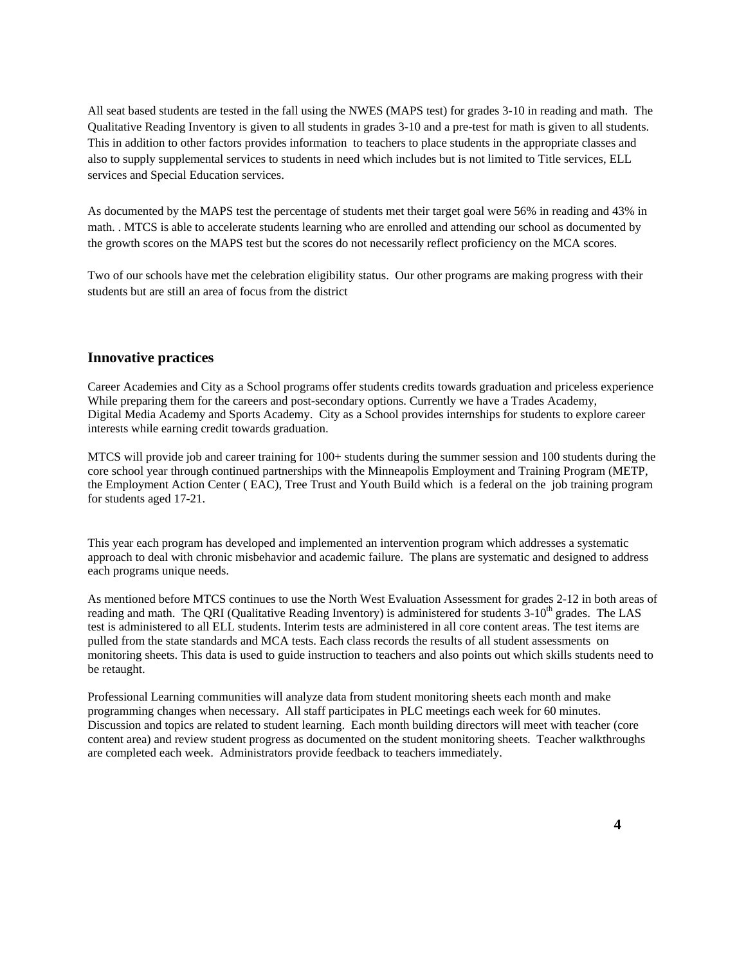All seat based students are tested in the fall using the NWES (MAPS test) for grades 3-10 in reading and math. The Qualitative Reading Inventory is given to all students in grades 3-10 and a pre-test for math is given to all students. This in addition to other factors provides information to teachers to place students in the appropriate classes and also to supply supplemental services to students in need which includes but is not limited to Title services, ELL services and Special Education services.

As documented by the MAPS test the percentage of students met their target goal were 56% in reading and 43% in math. . MTCS is able to accelerate students learning who are enrolled and attending our school as documented by the growth scores on the MAPS test but the scores do not necessarily reflect proficiency on the MCA scores.

Two of our schools have met the celebration eligibility status. Our other programs are making progress with their students but are still an area of focus from the district

### **Innovative practices**

Career Academies and City as a School programs offer students credits towards graduation and priceless experience While preparing them for the careers and post-secondary options. Currently we have a Trades Academy, Digital Media Academy and Sports Academy. City as a School provides internships for students to explore career interests while earning credit towards graduation.

 MTCS will provide job and career training for 100+ students during the summer session and 100 students during the core school year through continued partnerships with the Minneapolis Employment and Training Program (METP, the Employment Action Center ( EAC), Tree Trust and Youth Build which is a federal on the job training program for students aged 17-21.

 This year each program has developed and implemented an intervention program which addresses a systematic approach to deal with chronic misbehavior and academic failure. The plans are systematic and designed to address each programs unique needs.

 As mentioned before MTCS continues to use the North West Evaluation Assessment for grades 2-12 in both areas of reading and math. The QRI (Qualitative Reading Inventory) is administered for students  $3\t{-}10^{th}$  grades. The LAS test is administered to all ELL students. Interim tests are administered in all core content areas. The test items are pulled from the state standards and MCA tests. Each class records the results of all student assessments on monitoring sheets. This data is used to guide instruction to teachers and also points out which skills students need to be retaught.

 Professional Learning communities will analyze data from student monitoring sheets each month and make programming changes when necessary. All staff participates in PLC meetings each week for 60 minutes. Discussion and topics are related to student learning. Each month building directors will meet with teacher (core content area) and review student progress as documented on the student monitoring sheets. Teacher walkthroughs are completed each week. Administrators provide feedback to teachers immediately.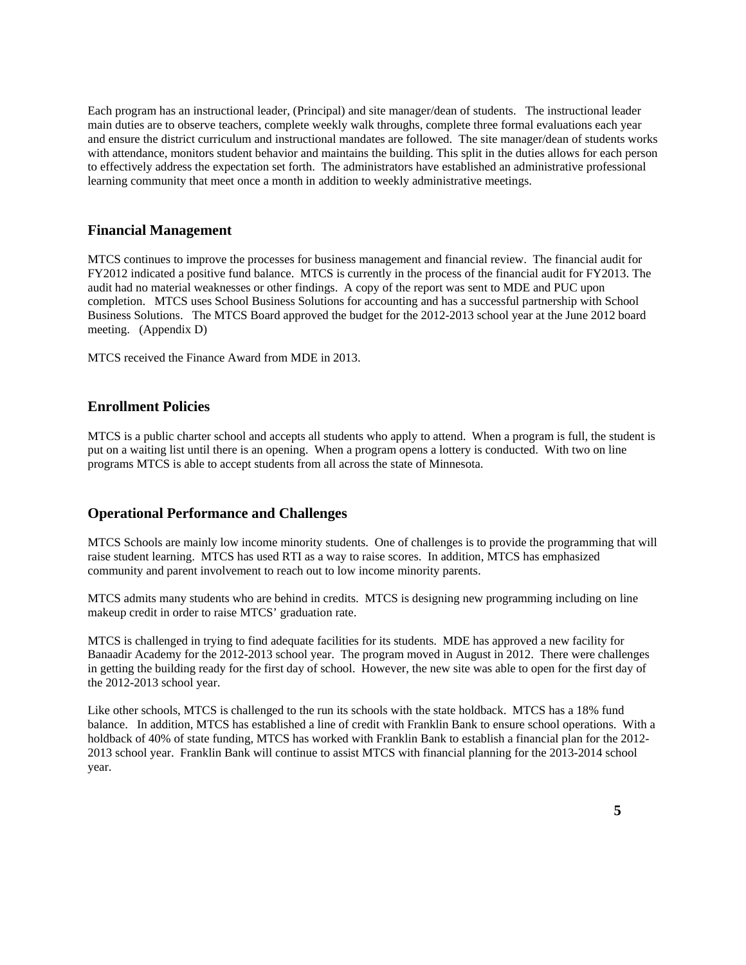Each program has an instructional leader, (Principal) and site manager/dean of students. The instructional leader main duties are to observe teachers, complete weekly walk throughs, complete three formal evaluations each year and ensure the district curriculum and instructional mandates are followed. The site manager/dean of students works with attendance, monitors student behavior and maintains the building. This split in the duties allows for each person to effectively address the expectation set forth. The administrators have established an administrative professional learning community that meet once a month in addition to weekly administrative meetings.

## **Financial Management**

MTCS continues to improve the processes for business management and financial review. The financial audit for FY2012 indicated a positive fund balance. MTCS is currently in the process of the financial audit for FY2013. The audit had no material weaknesses or other findings. A copy of the report was sent to MDE and PUC upon completion. MTCS uses School Business Solutions for accounting and has a successful partnership with School Business Solutions. The MTCS Board approved the budget for the 2012-2013 school year at the June 2012 board meeting. (Appendix D)

MTCS received the Finance Award from MDE in 2013.

## **Enrollment Policies**

MTCS is a public charter school and accepts all students who apply to attend. When a program is full, the student is put on a waiting list until there is an opening. When a program opens a lottery is conducted. With two on line programs MTCS is able to accept students from all across the state of Minnesota.

## **Operational Performance and Challenges**

MTCS Schools are mainly low income minority students. One of challenges is to provide the programming that will raise student learning. MTCS has used RTI as a way to raise scores. In addition, MTCS has emphasized community and parent involvement to reach out to low income minority parents.

MTCS admits many students who are behind in credits. MTCS is designing new programming including on line makeup credit in order to raise MTCS' graduation rate.

MTCS is challenged in trying to find adequate facilities for its students. MDE has approved a new facility for Banaadir Academy for the 2012-2013 school year. The program moved in August in 2012. There were challenges in getting the building ready for the first day of school. However, the new site was able to open for the first day of the 2012-2013 school year.

Like other schools, MTCS is challenged to the run its schools with the state holdback. MTCS has a 18% fund balance. In addition, MTCS has established a line of credit with Franklin Bank to ensure school operations. With a holdback of 40% of state funding, MTCS has worked with Franklin Bank to establish a financial plan for the 2012-2013 school year. Franklin Bank will continue to assist MTCS with financial planning for the 2013-2014 school year.